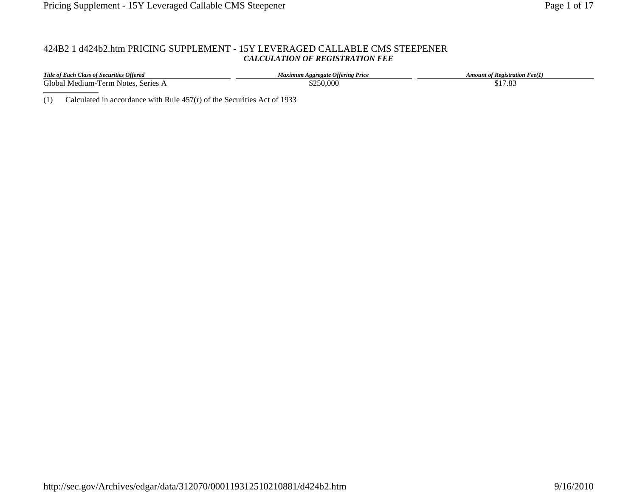# 424B2 1 d424b2.htm PRICING SUPPLEMENT - 15Y LEVERAGED CALLABLE CMS STEEPENER *CALCULATION OF REGISTRATION FEE*

| <b>Title of Each Class of Securities Offered</b> | Maximum Aggregate Offering Price | <b>Amount of Registration Fee(1)</b> |
|--------------------------------------------------|----------------------------------|--------------------------------------|
| Global Medium-Term Notes, Series A               | 250,000                          | \$17.83                              |

(1) Calculated in accordance with Rule 457(r) of the Securities Act of 1933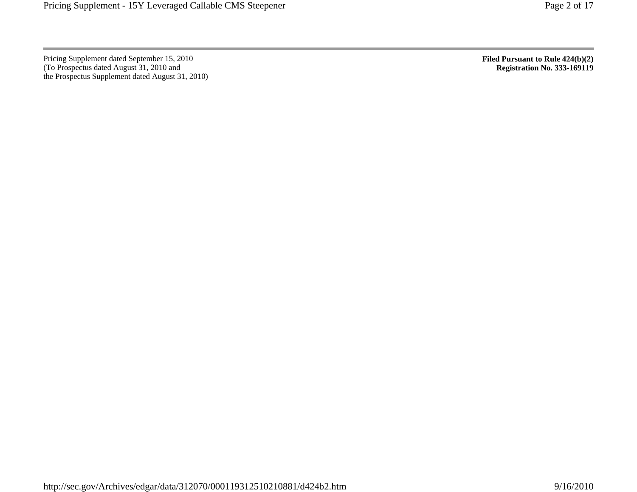Pricing Supplement dated September 15, 2010 (To Prospectus dated August 31, 2010 and the Prospectus Supplement dated August 31, 2010) **Filed Pursuant to Rule 424(b)(2) Registration No. 333-169119**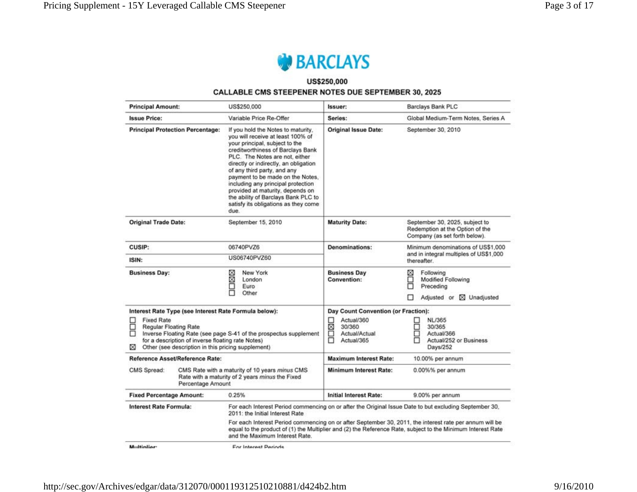

# US\$250,000 **CALLABLE CMS STEEPENER NOTES DUE SEPTEMBER 30, 2025**

| <b>Principal Amount:</b>                                                                                                                                                                                                                         | US\$250,000                                                                                                                                                                                                                                                                                                                                                                                                                                                   | Issuer:                                                            | <b>Barclays Bank PLC</b>                                                                               |  |
|--------------------------------------------------------------------------------------------------------------------------------------------------------------------------------------------------------------------------------------------------|---------------------------------------------------------------------------------------------------------------------------------------------------------------------------------------------------------------------------------------------------------------------------------------------------------------------------------------------------------------------------------------------------------------------------------------------------------------|--------------------------------------------------------------------|--------------------------------------------------------------------------------------------------------|--|
| <b>Issue Price:</b>                                                                                                                                                                                                                              | Variable Price Re-Offer                                                                                                                                                                                                                                                                                                                                                                                                                                       | Series:                                                            | Global Medium-Term Notes, Series A                                                                     |  |
| <b>Principal Protection Percentage:</b>                                                                                                                                                                                                          | If you hold the Notes to maturity.<br>you will receive at least 100% of<br>your principal, subject to the<br>creditworthiness of Barclays Bank<br>PLC. The Notes are not, either<br>directly or indirectly, an obligation<br>of any third party, and any<br>payment to be made on the Notes,<br>including any principal protection<br>provided at maturity, depends on<br>the ability of Barclays Bank PLC to<br>satisfy its obligations as they come<br>due. | <b>Original Issue Date:</b>                                        | September 30, 2010                                                                                     |  |
| <b>Original Trade Date:</b>                                                                                                                                                                                                                      | September 15, 2010                                                                                                                                                                                                                                                                                                                                                                                                                                            | <b>Maturity Date:</b>                                              | September 30, 2025, subject to<br>Redemption at the Option of the<br>Company (as set forth below).     |  |
| CUSIP:                                                                                                                                                                                                                                           | 06740PVZ6                                                                                                                                                                                                                                                                                                                                                                                                                                                     | <b>Denominations:</b>                                              | Minimum denominations of US\$1,000<br>and in integral multiples of US\$1,000<br>thereafter.            |  |
| ISIN:                                                                                                                                                                                                                                            | US06740PVZ60                                                                                                                                                                                                                                                                                                                                                                                                                                                  |                                                                    |                                                                                                        |  |
| <b>Business Day:</b>                                                                                                                                                                                                                             | ⊠<br>New York<br>ğ<br>London<br>Euro<br>Other                                                                                                                                                                                                                                                                                                                                                                                                                 | <b>Business Day</b><br>Convention:                                 | ⊠<br>Following<br>□<br>Modified Following<br>α<br>Preceding<br>п<br>Adjusted or <b>X</b> Unadjusted    |  |
| Interest Rate Type (see Interest Rate Formula below):                                                                                                                                                                                            |                                                                                                                                                                                                                                                                                                                                                                                                                                                               | Day Count Convention (or Fraction):                                |                                                                                                        |  |
| <b>Fixed Rate</b><br>□<br>□<br><b>Regular Floating Rate</b><br>Inverse Floating Rate (see page S-41 of the prospectus supplement<br>for a description of inverse floating rate Notes)<br>Other (see description in this pricing supplement)<br>⊠ |                                                                                                                                                                                                                                                                                                                                                                                                                                                               | □<br>Actual/360<br>⊠<br>30/360<br>R<br>Actual/Actual<br>Actual/365 | <b>NL/365</b><br>님<br>뮤<br>30/365<br>Actual/366<br>Actual/252 or Business<br>Days/252                  |  |
| Reference Asset/Reference Rate:                                                                                                                                                                                                                  |                                                                                                                                                                                                                                                                                                                                                                                                                                                               | <b>Maximum Interest Rate:</b>                                      | 10.00% per annum                                                                                       |  |
| CMS Rate with a maturity of 10 years minus CMS<br>CMS Spread:<br>Rate with a maturity of 2 years minus the Fixed<br>Percentage Amount                                                                                                            |                                                                                                                                                                                                                                                                                                                                                                                                                                                               | <b>Minimum Interest Rate:</b>                                      | 0.00%% per annum                                                                                       |  |
| <b>Fixed Percentage Amount:</b>                                                                                                                                                                                                                  | 0.25%                                                                                                                                                                                                                                                                                                                                                                                                                                                         | <b>Initial Interest Rate:</b>                                      | 9.00% per annum                                                                                        |  |
| <b>Interest Rate Formula:</b>                                                                                                                                                                                                                    | 2011: the Initial Interest Rate                                                                                                                                                                                                                                                                                                                                                                                                                               |                                                                    | For each Interest Period commencing on or after the Original Issue Date to but excluding September 30, |  |
|                                                                                                                                                                                                                                                  | For each Interest Period commencing on or after September 30, 2011, the interest rate per annum will be<br>equal to the product of (1) the Multiplier and (2) the Reference Rate, subject to the Minimum Interest Rate<br>and the Maximum Interest Rate.                                                                                                                                                                                                      |                                                                    |                                                                                                        |  |
| Multiplier:                                                                                                                                                                                                                                      | For Interest Periods                                                                                                                                                                                                                                                                                                                                                                                                                                          |                                                                    |                                                                                                        |  |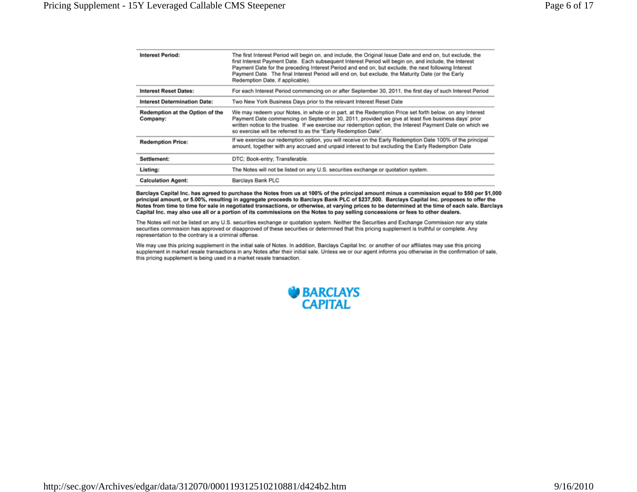| <b>Interest Period:</b>                     | The first Interest Period will begin on, and include, the Original Issue Date and end on, but exclude, the<br>first Interest Payment Date. Each subsequent Interest Period will begin on, and include, the Interest<br>Payment Date for the preceding Interest Period and end on, but exclude, the next following Interest<br>Payment Date. The final Interest Period will end on, but exclude, the Maturity Date (or the Early<br>Redemption Date, if applicable). |
|---------------------------------------------|---------------------------------------------------------------------------------------------------------------------------------------------------------------------------------------------------------------------------------------------------------------------------------------------------------------------------------------------------------------------------------------------------------------------------------------------------------------------|
| <b>Interest Reset Dates:</b>                | For each Interest Period commencing on or after September 30, 2011, the first day of such Interest Period                                                                                                                                                                                                                                                                                                                                                           |
| <b>Interest Determination Date:</b>         | Two New York Business Days prior to the relevant Interest Reset Date                                                                                                                                                                                                                                                                                                                                                                                                |
| Redemption at the Option of the<br>Company: | We may redeem your Notes, in whole or in part, at the Redemption Price set forth below, on any Interest<br>Payment Date commencing on September 30, 2011, provided we give at least five business days' prior<br>written notice to the trustee. If we exercise our redemption option, the Interest Payment Date on which we<br>so exercise will be referred to as the "Early Redemption Date".                                                                      |
| <b>Redemption Price:</b>                    | If we exercise our redemption option, you will receive on the Early Redemption Date 100% of the principal<br>amount, together with any accrued and unpaid interest to but excluding the Early Redemption Date                                                                                                                                                                                                                                                       |
| Settlement:                                 | DTC: Book-entry: Transferable.                                                                                                                                                                                                                                                                                                                                                                                                                                      |
| Listing:                                    | The Notes will not be listed on any U.S. securities exchange or quotation system.                                                                                                                                                                                                                                                                                                                                                                                   |
| <b>Calculation Agent:</b>                   | Barclays Bank PLC                                                                                                                                                                                                                                                                                                                                                                                                                                                   |

Barclays Capital Inc. has agreed to purchase the Notes from us at 100% of the principal amount minus a commission equal to \$50 per \$1,000 principal amount, or 5.00%, resulting in aggregate proceeds to Barclays Bank PLC of \$237,500. Barclays Capital Inc. proposes to offer the Notes from time to time for sale in negotiated transactions, or otherwise, at varying prices to be determined at the time of each sale. Barclays Capital Inc. may also use all or a portion of its commissions on the Notes to pay selling concessions or fees to other dealers.

The Notes will not be listed on any U.S. securities exchange or quotation system. Neither the Securities and Exchange Commission nor any state securities commission has approved or disapproved of these securities or determined that this pricing supplement is truthful or complete. Any representation to the contrary is a criminal offense.

We may use this pricing supplement in the initial sale of Notes. In addition, Barclays Capital Inc. or another of our affiliates may use this pricing supplement in market resale transactions in any Notes after their initial sale. Unless we or our agent informs you otherwise in the confirmation of sale, this pricing supplement is being used in a market resale transaction.

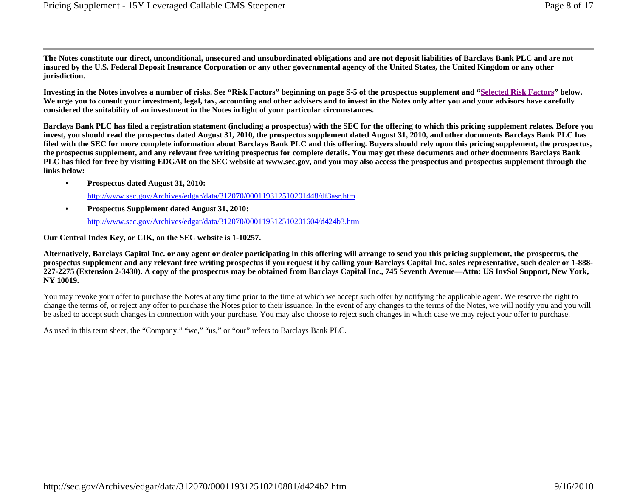**The Notes constitute our direct, unconditional, unsecured and unsubordinated obligations and are not deposit liabilities of Barclays Bank PLC and are not insured by the U.S. Federal Deposit Insurance Corporation or any other governmental agency of the United States, the United Kingdom or any other jurisdiction.** 

**Investing in the Notes involves a number of risks. See "Risk Factors" beginning on page S-5 of the prospectus supplement and "Selected Risk Factors" below.**  We urge you to consult your investment, legal, tax, accounting and other advisers and to invest in the Notes only after you and your advisors have carefully **considered the suitability of an investment in the Notes in light of your particular circumstances.** 

**Barclays Bank PLC has filed a registration statement (including a prospectus) with the SEC for the offering to which this pricing supplement relates. Before you invest, you should read the prospectus dated August 31, 2010, the prospectus supplement dated August 31, 2010, and other documents Barclays Bank PLC has filed with the SEC for more complete information about Barclays Bank PLC and this offering. Buyers should rely upon this pricing supplement, the prospectus, the prospectus supplement, and any relevant free writing prospectus for complete details. You may get these documents and other documents Barclays Bank**  PLC has filed for free by visiting EDGAR on the SEC website at www.sec.gov, and you may also access the prospectus and prospectus supplement through the **links below:** 

- http://www.sec.gov/Archives/edgar/data/312070/000119312510201448/df3asr.htm •**Prospectus dated August 31, 2010:**
- http://www.sec.gov/Archives/edgar/data/312070/000119312510201604/d424b3.htm •**Prospectus Supplement dated August 31, 2010:**

**Our Central Index Key, or CIK, on the SEC website is 1-10257.** 

**Alternatively, Barclays Capital Inc. or any agent or dealer participating in this offering will arrange to send you this pricing supplement, the prospectus, the prospectus supplement and any relevant free writing prospectus if you request it by calling your Barclays Capital Inc. sales representative, such dealer or 1-888- 227-2275 (Extension 2-3430). A copy of the prospectus may be obtained from Barclays Capital Inc., 745 Seventh Avenue—Attn: US InvSol Support, New York, NY 10019.** 

You may revoke your offer to purchase the Notes at any time prior to the time at which we accept such offer by notifying the applicable agent. We reserve the right to change the terms of, or reject any offer to purchase the Notes prior to their issuance. In the event of any changes to the terms of the Notes, we will notify you and you will be asked to accept such changes in connection with your purchase. You may also choose to reject such changes in which case we may reject your offer to purchase.

As used in this term sheet, the "Company," "we," "us," or "our" refers to Barclays Bank PLC.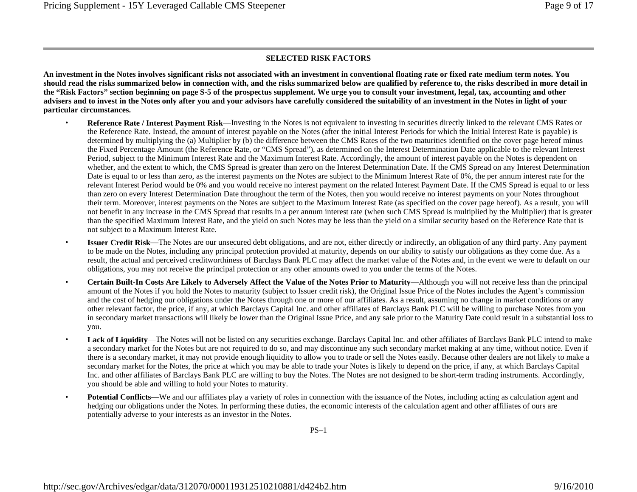#### **SELECTED RISK FACTORS**

**An investment in the Notes involves significant risks not associated with an investment in conventional floating rate or fixed rate medium term notes. You should read the risks summarized below in connection with, and the risks summarized below are qualified by reference to, the risks described in more detail in the "Risk Factors" section beginning on page S-5 of the prospectus supplement. We urge you to consult your investment, legal, tax, accounting and other advisers and to invest in the Notes only after you and your advisors have carefully considered the suitability of an investment in the Notes in light of your particular circumstances.** 

- • **Reference Rate / Interest Payment Risk**—Investing in the Notes is not equivalent to investing in securities directly linked to the relevant CMS Rates or the Reference Rate. Instead, the amount of interest payable on the Notes (after the initial Interest Periods for which the Initial Interest Rate is payable) is determined by multiplying the (a) Multiplier by (b) the difference between the CMS Rates of the two maturities identified on the cover page hereof minus the Fixed Percentage Amount (the Reference Rate, or "CMS Spread"), as determined on the Interest Determination Date applicable to the relevant Interest Period, subject to the Minimum Interest Rate and the Maximum Interest Rate. Accordingly, the amount of interest payable on the Notes is dependent on whether, and the extent to which, the CMS Spread is greater than zero on the Interest Determination Date. If the CMS Spread on any Interest Determination Date is equal to or less than zero, as the interest payments on the Notes are subject to the Minimum Interest Rate of 0%, the per annum interest rate for the relevant Interest Period would be 0% and you would receive no interest payment on the related Interest Payment Date. If the CMS Spread is equal to or less than zero on every Interest Determination Date throughout the term of the Notes, then you would receive no interest payments on your Notes throughout their term. Moreover, interest payments on the Notes are subject to the Maximum Interest Rate (as specified on the cover page hereof). As a result, you will not benefit in any increase in the CMS Spread that results in a per annum interest rate (when such CMS Spread is multiplied by the Multiplier) that is greater than the specified Maximum Interest Rate, and the yield on such Notes may be less than the yield on a similar security based on the Reference Rate that is not subject to a Maximum Interest Rate.
- • **Issuer Credit Risk**—The Notes are our unsecured debt obligations, and are not, either directly or indirectly, an obligation of any third party. Any payment to be made on the Notes, including any principal protection provided at maturity, depends on our ability to satisfy our obligations as they come due. As a result, the actual and perceived creditworthiness of Barclays Bank PLC may affect the market value of the Notes and, in the event we were to default on our obligations, you may not receive the principal protection or any other amounts owed to you under the terms of the Notes.
- • **Certain Built-In Costs Are Likely to Adversely Affect the Value of the Notes Prior to Maturity**—Although you will not receive less than the principal amount of the Notes if you hold the Notes to maturity (subject to Issuer credit risk), the Original Issue Price of the Notes includes the Agent's commission and the cost of hedging our obligations under the Notes through one or more of our affiliates. As a result, assuming no change in market conditions or any other relevant factor, the price, if any, at which Barclays Capital Inc. and other affiliates of Barclays Bank PLC will be willing to purchase Notes from you in secondary market transactions will likely be lower than the Original Issue Price, and any sale prior to the Maturity Date could result in a substantial loss to you.
- • **Lack of Liquidity**—The Notes will not be listed on any securities exchange. Barclays Capital Inc. and other affiliates of Barclays Bank PLC intend to make a secondary market for the Notes but are not required to do so, and may discontinue any such secondary market making at any time, without notice. Even if there is a secondary market, it may not provide enough liquidity to allow you to trade or sell the Notes easily. Because other dealers are not likely to make a secondary market for the Notes, the price at which you may be able to trade your Notes is likely to depend on the price, if any, at which Barclays Capital Inc. and other affiliates of Barclays Bank PLC are willing to buy the Notes. The Notes are not designed to be short-term trading instruments. Accordingly, you should be able and willing to hold your Notes to maturity.
- •**Potential Conflicts—We and our affiliates play a variety of roles in connection with the issuance of the Notes, including acting as calculation agent and** hedging our obligations under the Notes. In performing these duties, the economic interests of the calculation agent and other affiliates of ours are potentially adverse to your interests as an investor in the Notes.

 $PS-1$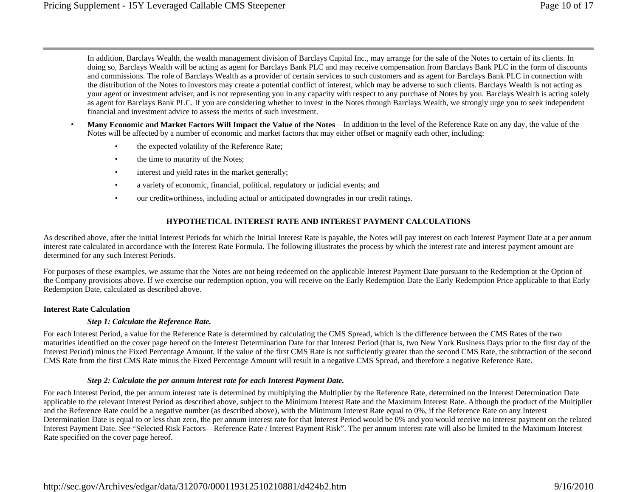In addition, Barclays Wealth, the wealth management division of Barclays Capital Inc., may arrange for the sale of the Notes to certain of its clients. In doing so, Barclays Wealth will be acting as agent for Barclays Bank PLC and may receive compensation from Barclays Bank PLC in the form of discounts and commissions. The role of Barclays Wealth as a provider of certain services to such customers and as agent for Barclays Bank PLC in connection with the distribution of the Notes to investors may create a potential conflict of interest, which may be adverse to such clients. Barclays Wealth is not acting as your agent or investment adviser, and is not representing you in any capacity with respect to any purchase of Notes by you. Barclays Wealth is acting solely as agent for Barclays Bank PLC. If you are considering whether to invest in the Notes through Barclays Wealth, we strongly urge you to seek independent financial and investment advice to assess the merits of such investment.

- • **Many Economic and Market Factors Will Impact the Value of the Notes**—In addition to the level of the Reference Rate on any day, the value of the Notes will be affected by a number of economic and market factors that may either offset or magnify each other, including:
	- •the expected volatility of the Reference Rate;
	- •the time to maturity of the Notes;
	- •interest and yield rates in the market generally;
	- •a variety of economic, financial, political, regulatory or judicial events; and
	- •our creditworthiness, including actual or anticipated downgrades in our credit ratings.

## **HYPOTHETICAL INTEREST RATE AND INTEREST PAYMENT CALCULATIONS**

As described above, after the initial Interest Periods for which the Initial Interest Rate is payable, the Notes will pay interest on each Interest Payment Date at a per annum interest rate calculated in accordance with the Interest Rate Formula. The following illustrates the process by which the interest rate and interest payment amount are determined for any such Interest Periods.

For purposes of these examples, we assume that the Notes are not being redeemed on the applicable Interest Payment Date pursuant to the Redemption at the Option of the Company provisions above. If we exercise our redemption option, you will receive on the Early Redemption Date the Early Redemption Price applicable to that Early Redemption Date, calculated as described above.

#### **Interest Rate Calculation**

#### *Step 1: Calculate the Reference Rate.*

For each Interest Period, a value for the Reference Rate is determined by calculating the CMS Spread, which is the difference between the CMS Rates of the two maturities identified on the cover page hereof on the Interest Determination Date for that Interest Period (that is, two New York Business Days prior to the first day of the Interest Period) minus the Fixed Percentage Amount. If the value of the first CMS Rate is not sufficiently greater than the second CMS Rate, the subtraction of the second CMS Rate from the first CMS Rate minus the Fixed Percentage Amount will result in a negative CMS Spread, and therefore a negative Reference Rate.

#### *Step 2: Calculate the per annum interest rate for each Interest Payment Date.*

For each Interest Period, the per annum interest rate is determined by multiplying the Multiplier by the Reference Rate, determined on the Interest Determination Date applicable to the relevant Interest Period as described above, subject to the Minimum Interest Rate and the Maximum Interest Rate. Although the product of the Multiplier and the Reference Rate could be a negative number (as described above), with the Minimum Interest Rate equal to 0%, if the Reference Rate on any Interest Determination Date is equal to or less than zero, the per annum interest rate for that Interest Period would be 0% and you would receive no interest payment on the related Interest Payment Date. See "Selected Risk Factors—Reference Rate / Interest Payment Risk". The per annum interest rate will also be limited to the Maximum Interest Rate specified on the cover page hereof.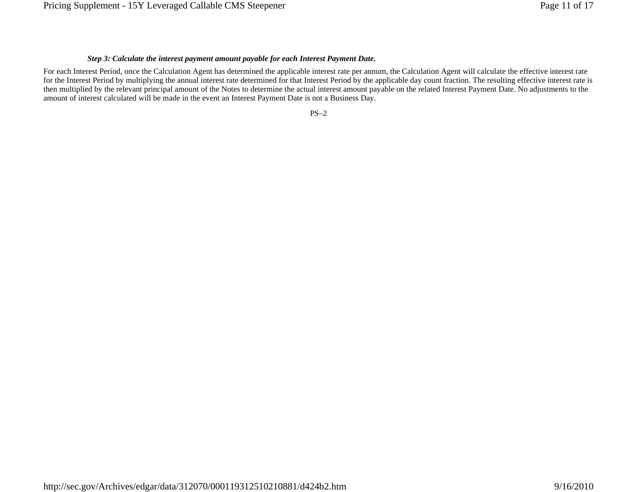## *Step 3: Calculate the interest payment amount payable for each Interest Payment Date.*

For each Interest Period, once the Calculation Agent has determined the applicable interest rate per annum, the Calculation Agent will calculate the effective interest rate for the Interest Period by multiplying the annual interest rate determined for that Interest Period by the applicable day count fraction. The resulting effective interest rate is then multiplied by the relevant principal amount of the Notes to determine the actual interest amount payable on the related Interest Payment Date. No adjustments to the amount of interest calculated will be made in the event an Interest Payment Date is not a Business Day.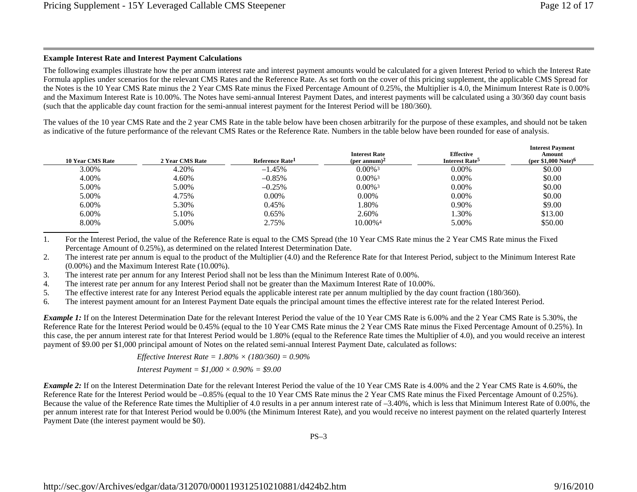# **Example Interest Rate and Interest Payment Calculations**

The following examples illustrate how the per annum interest rate and interest payment amounts would be calculated for a given Interest Period to which the Interest Rate Formula applies under scenarios for the relevant CMS Rates and the Reference Rate. As set forth on the cover of this pricing supplement, the applicable CMS Spread for the Notes is the 10 Year CMS Rate minus the 2 Year CMS Rate minus the Fixed Percentage Amount of 0.25%, the Multiplier is 4.0, the Minimum Interest Rate is 0.00% and the Maximum Interest Rate is 10.00%. The Notes have semi-annual Interest Payment Dates, and interest payments will be calculated using a 30/360 day count basis (such that the applicable day count fraction for the semi-annual interest payment for the Interest Period will be 180/360).

The values of the 10 year CMS Rate and the 2 year CMS Rate in the table below have been chosen arbitrarily for the purpose of these examples, and should not be taken as indicative of the future performance of the relevant CMS Rates or the Reference Rate. Numbers in the table below have been rounded for ease of analysis.

| 2 Year CMS Rate | Reference Rate <sup>1</sup> | <b>Interest Rate</b><br>(per annum) <sup>2</sup> | <b>Effective</b><br>Interest Rate <sup>5</sup> | <b>Interest Payment</b><br>Amount<br>(per \$1,000 Note) <sup>6</sup> |
|-----------------|-----------------------------|--------------------------------------------------|------------------------------------------------|----------------------------------------------------------------------|
| 4.20%           | $-1.45%$                    | $0.00\%$ <sup>3</sup>                            | 0.00%                                          | \$0.00                                                               |
| 4.60%           | $-0.85%$                    | $0.00\%$ <sup>3</sup>                            | $0.00\%$                                       | \$0.00                                                               |
| 5.00%           | $-0.25%$                    | $0.00\%$ <sup>3</sup>                            | $0.00\%$                                       | \$0.00                                                               |
| 4.75%           | $0.00\%$                    | $0.00\%$                                         | $0.00\%$                                       | \$0.00                                                               |
| 5.30%           | 0.45%                       | 1.80%                                            | 0.90%                                          | \$9.00                                                               |
| 5.10%           | 0.65%                       | 2.60%                                            | 1.30%                                          | \$13.00                                                              |
| 5.00%           | 2.75%                       | 10.00% <sup>4</sup>                              | 5.00%                                          | \$50.00                                                              |
|                 |                             |                                                  |                                                |                                                                      |

1. For the Interest Period, the value of the Reference Rate is equal to the CMS Spread (the 10 Year CMS Rate minus the 2 Year CMS Rate minus the Fixed Percentage Amount of 0.25%), as determined on the related Interest Determination Date.

2. The interest rate per annum is equal to the product of the Multiplier (4.0) and the Reference Rate for that Interest Period, subject to the Minimum Interest Rate (0.00%) and the Maximum Interest Rate (10.00%).

3. The interest rate per annum for any Interest Period shall not be less than the Minimum Interest Rate of 0.00%.

4. The interest rate per annum for any Interest Period shall not be greater than the Maximum Interest Rate of 10.00%.

5. The effective interest rate for any Interest Period equals the applicable interest rate per annum multiplied by the day count fraction (180/360).

6. The interest payment amount for an Interest Payment Date equals the principal amount times the effective interest rate for the related Interest Period.

*Example 1:* If on the Interest Determination Date for the relevant Interest Period the value of the 10 Year CMS Rate is 6.00% and the 2 Year CMS Rate is 5.30%, the Reference Rate for the Interest Period would be 0.45% (equal to the 10 Year CMS Rate minus the 2 Year CMS Rate minus the Fixed Percentage Amount of 0.25%). In this case, the per annum interest rate for that Interest Period would be 1.80% (equal to the Reference Rate times the Multiplier of 4.0), and you would receive an interest payment of \$9.00 per \$1,000 principal amount of Notes on the related semi-annual Interest Payment Date, calculated as follows:

> *Effective Interest Rate = 1.80% × (180/360) = 0.90% Interest Payment = \$1,000 × 0.90% = \$9.00*

*Example 2:* If on the Interest Determination Date for the relevant Interest Period the value of the 10 Year CMS Rate is 4.00% and the 2 Year CMS Rate is 4.60%, the Reference Rate for the Interest Period would be –0.85% (equal to the 10 Year CMS Rate minus the 2 Year CMS Rate minus the Fixed Percentage Amount of 0.25%). Because the value of the Reference Rate times the Multiplier of 4.0 results in a per annum interest rate of –3.40%, which is less that Minimum Interest Rate of 0.00%, the per annum interest rate for that Interest Period would be 0.00% (the Minimum Interest Rate), and you would receive no interest payment on the related quarterly Interest Payment Date (the interest payment would be \$0).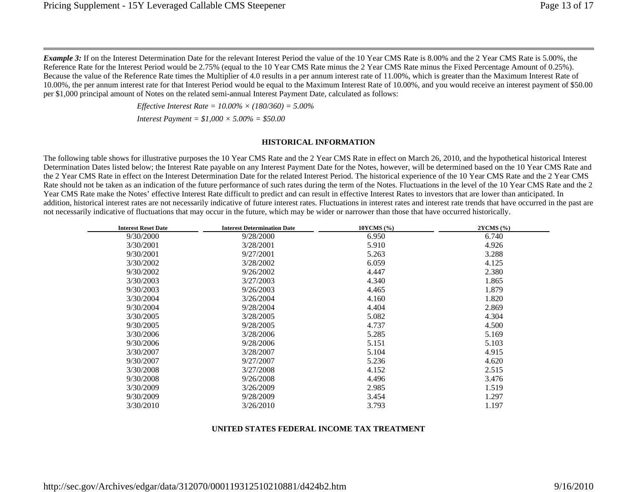*Example 3:* If on the Interest Determination Date for the relevant Interest Period the value of the 10 Year CMS Rate is 8.00% and the 2 Year CMS Rate is 5.00%, the Reference Rate for the Interest Period would be 2.75% (equal to the 10 Year CMS Rate minus the 2 Year CMS Rate minus the Fixed Percentage Amount of 0.25%). Because the value of the Reference Rate times the Multiplier of 4.0 results in a per annum interest rate of 11.00%, which is greater than the Maximum Interest Rate of 10.00%, the per annum interest rate for that Interest Period would be equal to the Maximum Interest Rate of 10.00%, and you would receive an interest payment of \$50.00 per \$1,000 principal amount of Notes on the related semi-annual Interest Payment Date, calculated as follows:

> *Effective Interest Rate = 10.00% × (180/360) = 5.00% Interest Payment = \$1,000 × 5.00% = \$50.00*

#### **HISTORICAL INFORMATION**

The following table shows for illustrative purposes the 10 Year CMS Rate and the 2 Year CMS Rate in effect on March 26, 2010, and the hypothetical historical Interest Determination Dates listed below; the Interest Rate payable on any Interest Payment Date for the Notes, however, will be determined based on the 10 Year CMS Rate and the 2 Year CMS Rate in effect on the Interest Determination Date for the related Interest Period. The historical experience of the 10 Year CMS Rate and the 2 Year CMS Rate should not be taken as an indication of the future performance of such rates during the term of the Notes. Fluctuations in the level of the 10 Year CMS Rate and the 2 Year CMS Rate make the Notes' effective Interest Rate difficult to predict and can result in effective Interest Rates to investors that are lower than anticipated. In addition, historical interest rates are not necessarily indicative of future interest rates. Fluctuations in interest rates and interest rate trends that have occurred in the past are not necessarily indicative of fluctuations that may occur in the future, which may be wider or narrower than those that have occurred historically.

| <b>Interest Reset Date</b> | <b>Interest Determination Date</b> | 10YCMS (%) | 2YCMS (%) |
|----------------------------|------------------------------------|------------|-----------|
| 9/30/2000                  | 9/28/2000                          | 6.950      | 6.740     |
| 3/30/2001                  | 3/28/2001                          | 5.910      | 4.926     |
| 9/30/2001                  | 9/27/2001                          | 5.263      | 3.288     |
| 3/30/2002                  | 3/28/2002                          | 6.059      | 4.125     |
| 9/30/2002                  | 9/26/2002                          | 4.447      | 2.380     |
| 3/30/2003                  | 3/27/2003                          | 4.340      | 1.865     |
| 9/30/2003                  | 9/26/2003                          | 4.465      | 1.879     |
| 3/30/2004                  | 3/26/2004                          | 4.160      | 1.820     |
| 9/30/2004                  | 9/28/2004                          | 4.404      | 2.869     |
| 3/30/2005                  | 3/28/2005                          | 5.082      | 4.304     |
| 9/30/2005                  | 9/28/2005                          | 4.737      | 4.500     |
| 3/30/2006                  | 3/28/2006                          | 5.285      | 5.169     |
| 9/30/2006                  | 9/28/2006                          | 5.151      | 5.103     |
| 3/30/2007                  | 3/28/2007                          | 5.104      | 4.915     |
| 9/30/2007                  | 9/27/2007                          | 5.236      | 4.620     |
| 3/30/2008                  | 3/27/2008                          | 4.152      | 2.515     |
| 9/30/2008                  | 9/26/2008                          | 4.496      | 3.476     |
| 3/30/2009                  | 3/26/2009                          | 2.985      | 1.519     |
| 9/30/2009                  | 9/28/2009                          | 3.454      | 1.297     |
| 3/30/2010                  | 3/26/2010                          | 3.793      | 1.197     |
|                            |                                    |            |           |

#### **UNITED STATES FEDERAL INCOME TAX TREATMENT**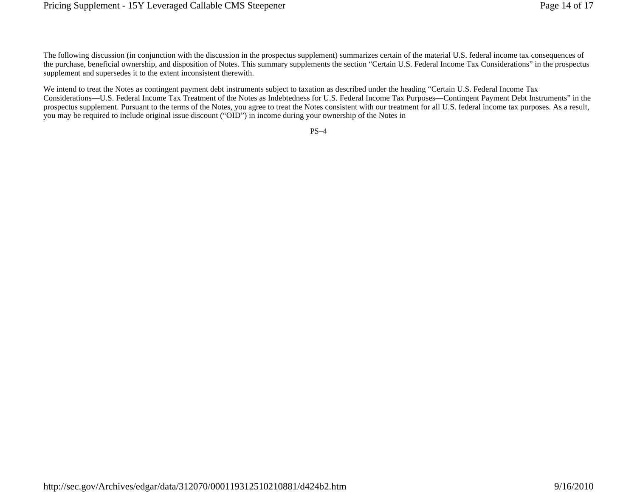The following discussion (in conjunction with the discussion in the prospectus supplement) summarizes certain of the material U.S. federal income tax consequences of the purchase, beneficial ownership, and disposition of Notes. This summary supplements the section "Certain U.S. Federal Income Tax Considerations" in the prospectus supplement and supersedes it to the extent inconsistent therewith.

We intend to treat the Notes as contingent payment debt instruments subject to taxation as described under the heading "Certain U.S. Federal Income Tax Considerations—U.S. Federal Income Tax Treatment of the Notes as Indebtedness for U.S. Federal Income Tax Purposes—Contingent Payment Debt Instruments" in the prospectus supplement. Pursuant to the terms of the Notes, you agree to treat the Notes consistent with our treatment for all U.S. federal income tax purposes. As a result, you may be required to include original issue discount ("OID") in income during your ownership of the Notes in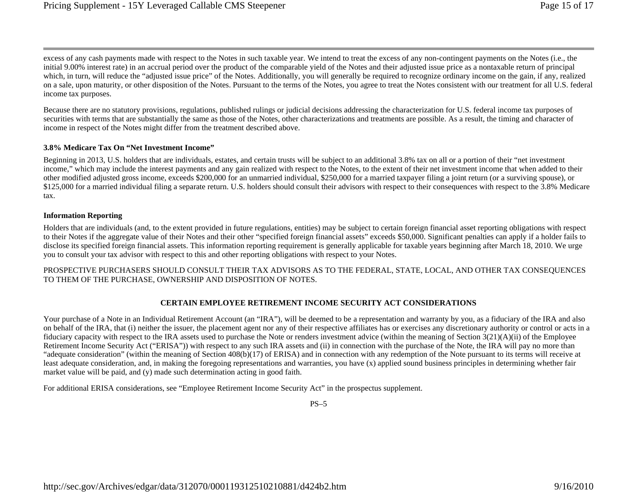excess of any cash payments made with respect to the Notes in such taxable year. We intend to treat the excess of any non-contingent payments on the Notes (i.e., the initial 9.00% interest rate) in an accrual period over the product of the comparable yield of the Notes and their adjusted issue price as a nontaxable return of principal which, in turn, will reduce the "adjusted issue price" of the Notes. Additionally, you will generally be required to recognize ordinary income on the gain, if any, realized on a sale, upon maturity, or other disposition of the Notes. Pursuant to the terms of the Notes, you agree to treat the Notes consistent with our treatment for all U.S. federal income tax purposes.

Because there are no statutory provisions, regulations, published rulings or judicial decisions addressing the characterization for U.S. federal income tax purposes of securities with terms that are substantially the same as those of the Notes, other characterizations and treatments are possible. As a result, the timing and character of income in respect of the Notes might differ from the treatment described above.

## **3.8% Medicare Tax On "Net Investment Income"**

Beginning in 2013, U.S. holders that are individuals, estates, and certain trusts will be subject to an additional 3.8% tax on all or a portion of their "net investment income," which may include the interest payments and any gain realized with respect to the Notes, to the extent of their net investment income that when added to their other modified adjusted gross income, exceeds \$200,000 for an unmarried individual, \$250,000 for a married taxpayer filing a joint return (or a surviving spouse), or \$125,000 for a married individual filing a separate return. U.S. holders should consult their advisors with respect to their consequences with respect to the 3.8% Medicare tax.

## **Information Reporting**

Holders that are individuals (and, to the extent provided in future regulations, entities) may be subject to certain foreign financial asset reporting obligations with respect to their Notes if the aggregate value of their Notes and their other "specified foreign financial assets" exceeds \$50,000. Significant penalties can apply if a holder fails to disclose its specified foreign financial assets. This information reporting requirement is generally applicable for taxable years beginning after March 18, 2010. We urge you to consult your tax advisor with respect to this and other reporting obligations with respect to your Notes.

PROSPECTIVE PURCHASERS SHOULD CONSULT THEIR TAX ADVISORS AS TO THE FEDERAL, STATE, LOCAL, AND OTHER TAX CONSEQUENCES TO THEM OF THE PURCHASE, OWNERSHIP AND DISPOSITION OF NOTES.

# **CERTAIN EMPLOYEE RETIREMENT INCOME SECURITY ACT CONSIDERATIONS**

Your purchase of a Note in an Individual Retirement Account (an "IRA"), will be deemed to be a representation and warranty by you, as a fiduciary of the IRA and also on behalf of the IRA, that (i) neither the issuer, the placement agent nor any of their respective affiliates has or exercises any discretionary authority or control or acts in a fiduciary capacity with respect to the IRA assets used to purchase the Note or renders investment advice (within the meaning of Section 3(21)(A)(ii) of the Employee Retirement Income Security Act ("ERISA")) with respect to any such IRA assets and (ii) in connection with the purchase of the Note, the IRA will pay no more than "adequate consideration" (within the meaning of Section 408(b)(17) of ERISA) and in connection with any redemption of the Note pursuant to its terms will receive at least adequate consideration, and, in making the foregoing representations and warranties, you have (x) applied sound business principles in determining whether fair market value will be paid, and (y) made such determination acting in good faith.

For additional ERISA considerations, see "Employee Retirement Income Security Act" in the prospectus supplement.

 $PS-5$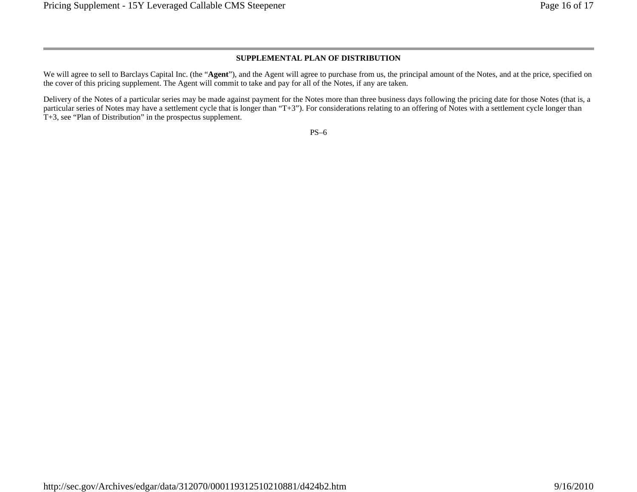### **SUPPLEMENTAL PLAN OF DISTRIBUTION**

We will agree to sell to Barclays Capital Inc. (the "**Agent**"), and the Agent will agree to purchase from us, the principal amount of the Notes, and at the price, specified on the cover of this pricing supplement. The Agent will commit to take and pay for all of the Notes, if any are taken.

Delivery of the Notes of a particular series may be made against payment for the Notes more than three business days following the pricing date for those Notes (that is, a particular series of Notes may have a settlement cycle that is longer than "T+3"). For considerations relating to an offering of Notes with a settlement cycle longer than T+3, see "Plan of Distribution" in the prospectus supplement.